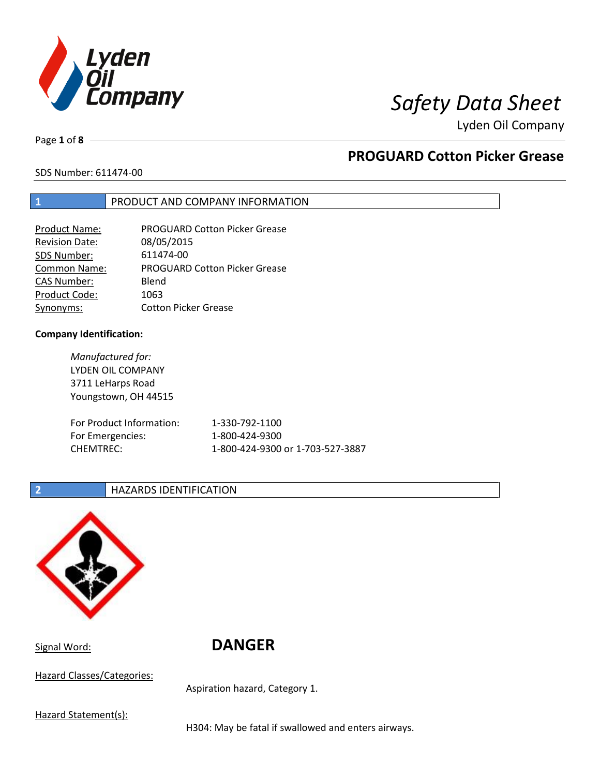

# *Safety Data Sheet*

Lyden Oil Company

Page **1** of **8**

# **PROGUARD Cotton Picker Grease**

SDS Number: 611474-00

## **1** PRODUCT AND COMPANY INFORMATION

| <b>Product Name:</b>  | <b>PROGUARD Cotton Picker Grease</b> |
|-----------------------|--------------------------------------|
| <b>Revision Date:</b> | 08/05/2015                           |
| SDS Number:           | 611474-00                            |
| <b>Common Name:</b>   | <b>PROGUARD Cotton Picker Grease</b> |
| <b>CAS Number:</b>    | Blend                                |
| Product Code:         | 1063                                 |
| Synonyms:             | <b>Cotton Picker Grease</b>          |

## **Company Identification:**

*Manufactured for:*  LYDEN OIL COMPANY 3711 LeHarps Road Youngstown, OH 44515 For Product Information: 1-330-792-1100 For Emergencies: 1-800-424-9300 CHEMTREC: 1-800-424-9300 or 1-703-527-3887

## **2 HAZARDS IDENTIFICATION**



Signal Word: **DANGER** 

Hazard Classes/Categories:

Aspiration hazard, Category 1.

Hazard Statement(s):

H304: May be fatal if swallowed and enters airways.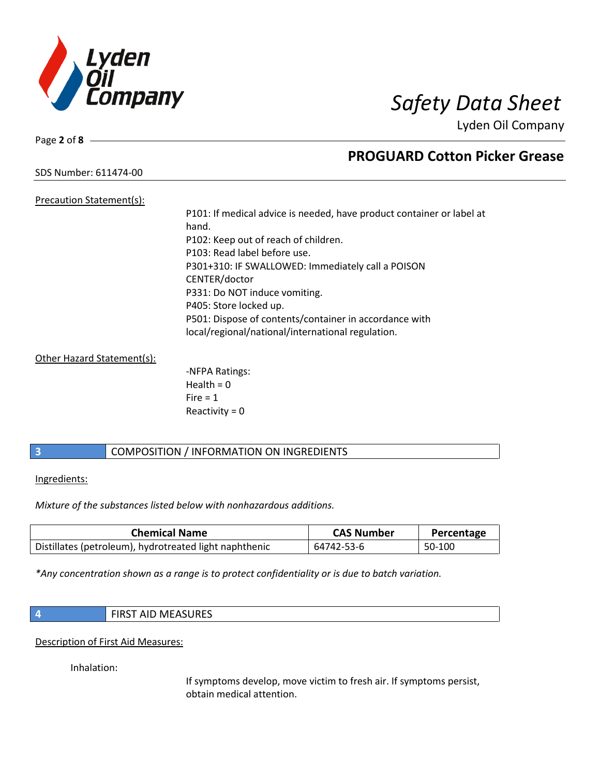

Page **2** of **8**

# **PROGUARD Cotton Picker Grease**

SDS Number: 611474-00

## Precaution Statement(s): P101: If medical advice is needed, have product container or label at hand. P102: Keep out of reach of children. P103: Read label before use. P301+310: IF SWALLOWED: Immediately call a POISON CENTER/doctor P331: Do NOT induce vomiting. P405: Store locked up. P501: Dispose of contents/container in accordance with local/regional/national/international regulation.

## Other Hazard Statement(s):

-NFPA Ratings: Health =  $0$  $Fire = 1$ Reactivity  $= 0$ 

## **3** COMPOSITION / INFORMATION ON INGREDIENTS

## Ingredients:

*Mixture of the substances listed below with nonhazardous additions.*

| <b>Chemical Name</b>                                   | <b>CAS Number</b> | Percentage |
|--------------------------------------------------------|-------------------|------------|
| Distillates (petroleum), hydrotreated light naphthenic | 64742-53-6        | 50-100     |

*\*Any concentration shown as a range is to protect confidentiality or is due to batch variation.*

| <b>FIRST AID MEASURES</b> |
|---------------------------|
|                           |

Description of First Aid Measures:

Inhalation:

If symptoms develop, move victim to fresh air. If symptoms persist, obtain medical attention.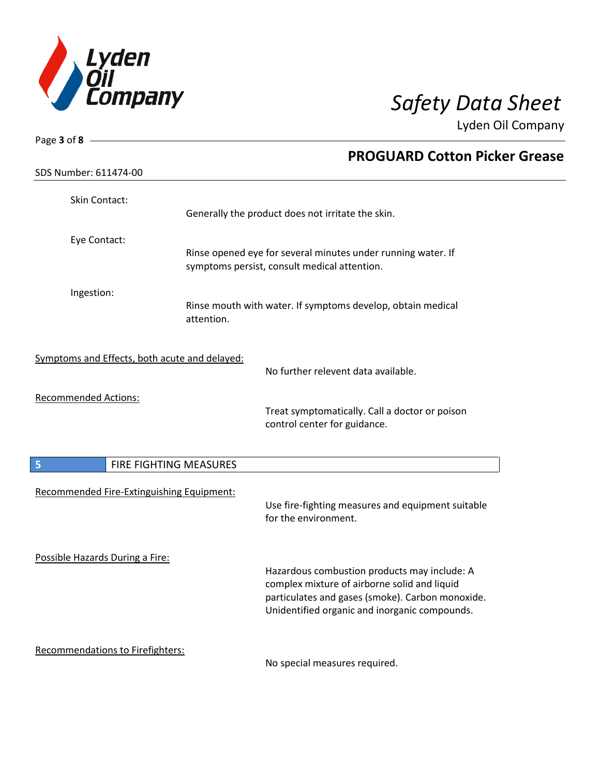

| Page 3 of 8                                   |                        |                                                                                                                                                                                                   |
|-----------------------------------------------|------------------------|---------------------------------------------------------------------------------------------------------------------------------------------------------------------------------------------------|
|                                               |                        | <b>PROGUARD Cotton Picker Grease</b>                                                                                                                                                              |
| SDS Number: 611474-00                         |                        |                                                                                                                                                                                                   |
| Skin Contact:                                 |                        | Generally the product does not irritate the skin.                                                                                                                                                 |
| Eye Contact:                                  |                        |                                                                                                                                                                                                   |
|                                               |                        | Rinse opened eye for several minutes under running water. If<br>symptoms persist, consult medical attention.                                                                                      |
| Ingestion:                                    | attention.             | Rinse mouth with water. If symptoms develop, obtain medical                                                                                                                                       |
| Symptoms and Effects, both acute and delayed: |                        | No further relevent data available.                                                                                                                                                               |
| <b>Recommended Actions:</b>                   |                        |                                                                                                                                                                                                   |
|                                               |                        | Treat symptomatically. Call a doctor or poison<br>control center for guidance.                                                                                                                    |
| 5                                             | FIRE FIGHTING MEASURES |                                                                                                                                                                                                   |
| Recommended Fire-Extinguishing Equipment:     |                        | Use fire-fighting measures and equipment suitable<br>for the environment.                                                                                                                         |
| Possible Hazards During a Fire:               |                        | Hazardous combustion products may include: A<br>complex mixture of airborne solid and liquid<br>particulates and gases (smoke). Carbon monoxide.<br>Unidentified organic and inorganic compounds. |
| Recommendations to Firefighters:              |                        | No special measures required.                                                                                                                                                                     |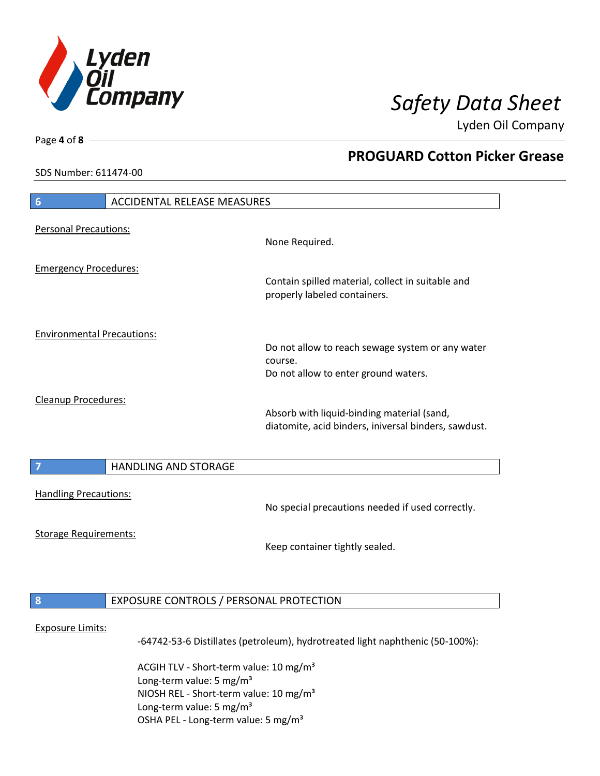

**PROGUARD Cotton Picker Grease**

Lyden Oil Company

SDS Number: 611474-00

Page **4** of **8**

# **6** ACCIDENTAL RELEASE MEASURES Personal Precautions: None Required. Emergency Procedures: Contain spilled material, collect in suitable and properly labeled containers. Environmental Precautions: Do not allow to reach sewage system or any water course. Do not allow to enter ground waters. Cleanup Procedures: Absorb with liquid-binding material (sand, diatomite, acid binders, iniversal binders, sawdust. **7 HANDLING AND STORAGE** Handling Precautions: No special precautions needed if used correctly. Storage Requirements: Keep container tightly sealed. **8** EXPOSURE CONTROLS / PERSONAL PROTECTION Exposure Limits: -64742-53-6 Distillates (petroleum), hydrotreated light naphthenic (50-100%):

ACGIH TLV - Short-term value: 10 mg/m<sup>3</sup> Long-term value:  $5 \text{ mg/m}^3$ NIOSH REL - Short-term value: 10 mg/m³ Long-term value: 5 mg/m<sup>3</sup> OSHA PEL - Long-term value: 5 mg/m<sup>3</sup>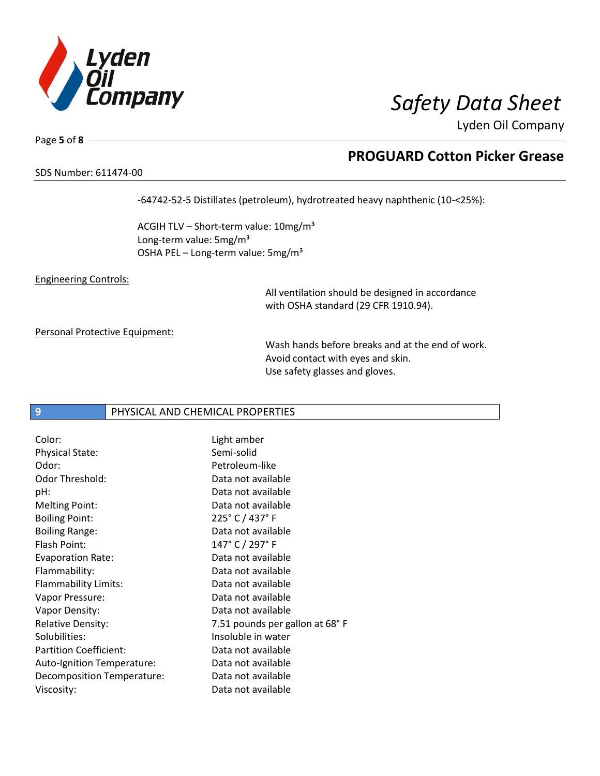

# SDS Number: 611474-00

Page **5** of **8**

## **PROGUARD Cotton Picker Grease**

-64742-52-5 Distillates (petroleum), hydrotreated heavy naphthenic (10-<25%):

ACGIH TLV - Short-term value: 10mg/m<sup>3</sup> Long-term value: 5mg/m<sup>3</sup> OSHA PEL - Long-term value: 5mg/m<sup>3</sup>

Engineering Controls:

All ventilation should be designed in accordance with OSHA standard (29 CFR 1910.94).

Personal Protective Equipment:

Wash hands before breaks and at the end of work. Avoid contact with eyes and skin. Use safety glasses and gloves.

## **9** PHYSICAL AND CHEMICAL PROPERTIES

| Color:                        | Light amber                    |
|-------------------------------|--------------------------------|
| <b>Physical State:</b>        | Semi-solid                     |
| Odor:                         | Petroleum-like                 |
| Odor Threshold:               | Data not available             |
| pH:                           | Data not available             |
| <b>Melting Point:</b>         | Data not available             |
| <b>Boiling Point:</b>         | 225° C / 437° F                |
| <b>Boiling Range:</b>         | Data not available             |
| Flash Point:                  | 147° C / 297° F                |
| <b>Evaporation Rate:</b>      | Data not available             |
| Flammability:                 | Data not available             |
| Flammability Limits:          | Data not available             |
| Vapor Pressure:               | Data not available             |
| Vapor Density:                | Data not available             |
| <b>Relative Density:</b>      | 7.51 pounds per gallon at 68°F |
| Solubilities:                 | Insoluble in water             |
| <b>Partition Coefficient:</b> | Data not available             |
| Auto-Ignition Temperature:    | Data not available             |
| Decomposition Temperature:    | Data not available             |
| Viscosity:                    | Data not available             |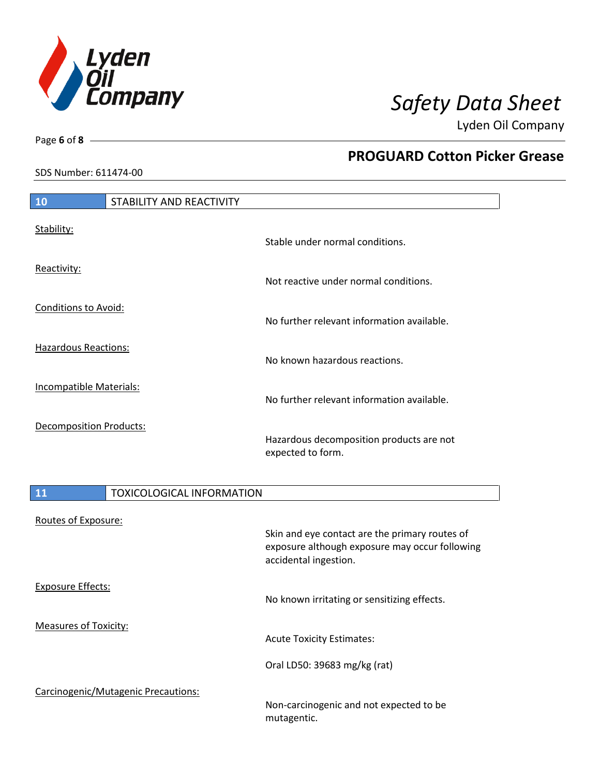

Page **6** of **8**

## **PROGUARD Cotton Picker Grease**

SDS Number: 611474-00

| <b>10</b>                    | STABILITY AND REACTIVITY            |                                                                                                                           |
|------------------------------|-------------------------------------|---------------------------------------------------------------------------------------------------------------------------|
|                              |                                     |                                                                                                                           |
| Stability:                   |                                     | Stable under normal conditions.                                                                                           |
| Reactivity:                  |                                     | Not reactive under normal conditions.                                                                                     |
| <b>Conditions to Avoid:</b>  |                                     | No further relevant information available.                                                                                |
| <b>Hazardous Reactions:</b>  |                                     | No known hazardous reactions.                                                                                             |
| Incompatible Materials:      |                                     | No further relevant information available.                                                                                |
| Decomposition Products:      |                                     | Hazardous decomposition products are not<br>expected to form.                                                             |
| <b>11</b>                    | <b>TOXICOLOGICAL INFORMATION</b>    |                                                                                                                           |
|                              |                                     |                                                                                                                           |
| Routes of Exposure:          |                                     | Skin and eye contact are the primary routes of<br>exposure although exposure may occur following<br>accidental ingestion. |
| <b>Exposure Effects:</b>     |                                     | No known irritating or sensitizing effects.                                                                               |
| <b>Measures of Toxicity:</b> |                                     | <b>Acute Toxicity Estimates:</b>                                                                                          |
|                              |                                     | Oral LD50: 39683 mg/kg (rat)                                                                                              |
|                              | Carcinogenic/Mutagenic Precautions: | Non-carcinogenic and not expected to be                                                                                   |

mutagentic.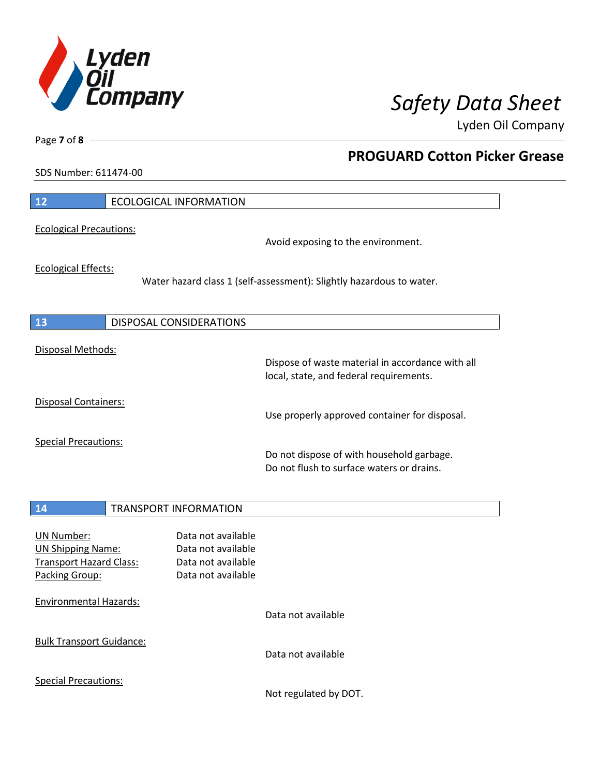

**PROGUARD Cotton Picker Grease**

Lyden Oil Company

SDS Number: 611474-00

Page **7** of **8**

| 12                                                                                                | <b>ECOLOGICAL INFORMATION</b>  |                                                                                      |                                                                                             |
|---------------------------------------------------------------------------------------------------|--------------------------------|--------------------------------------------------------------------------------------|---------------------------------------------------------------------------------------------|
| <b>Ecological Precautions:</b>                                                                    |                                |                                                                                      | Avoid exposing to the environment.                                                          |
| <b>Ecological Effects:</b>                                                                        |                                |                                                                                      | Water hazard class 1 (self-assessment): Slightly hazardous to water.                        |
| 13                                                                                                | <b>DISPOSAL CONSIDERATIONS</b> |                                                                                      |                                                                                             |
| Disposal Methods:                                                                                 |                                |                                                                                      | Dispose of waste material in accordance with all<br>local, state, and federal requirements. |
| Disposal Containers:                                                                              |                                |                                                                                      | Use properly approved container for disposal.                                               |
| <b>Special Precautions:</b>                                                                       |                                |                                                                                      | Do not dispose of with household garbage.<br>Do not flush to surface waters or drains.      |
| 14                                                                                                | <b>TRANSPORT INFORMATION</b>   |                                                                                      |                                                                                             |
| <b>UN Number:</b><br><b>UN Shipping Name:</b><br><b>Transport Hazard Class:</b><br>Packing Group: |                                | Data not available<br>Data not available<br>Data not available<br>Data not available |                                                                                             |
| <b>Environmental Hazards:</b>                                                                     |                                |                                                                                      | Data not available                                                                          |
| <b>Bulk Transport Guidance:</b>                                                                   |                                |                                                                                      | Data not available                                                                          |
| <b>Special Precautions:</b>                                                                       |                                |                                                                                      | Not regulated by DOT.                                                                       |